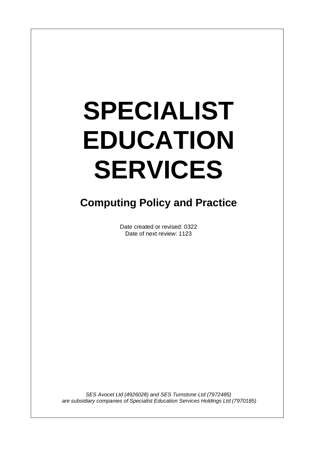# **SPECIALIST EDUCATION SERVICES**

 $\overline{\phantom{a}}$ 

# **Computing Policy and Practice**

Date created or revised: 0322 Date of next review: 1123

*SES Avocet Ltd (4926028) and SES Turnstone Ltd (7972485) are subsidiary companies of Specialist Education Services Holdings Ltd (7970185)*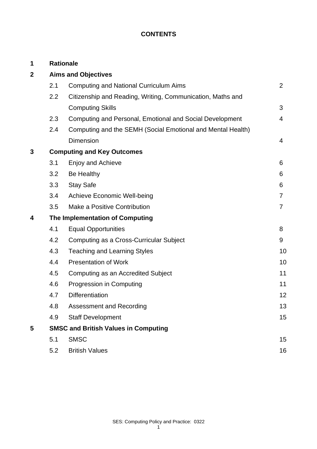# **CONTENTS**

| 1            | <b>Rationale</b>                            |                                                             |                |
|--------------|---------------------------------------------|-------------------------------------------------------------|----------------|
| $\mathbf{2}$ | <b>Aims and Objectives</b>                  |                                                             |                |
|              | 2.1                                         | <b>Computing and National Curriculum Aims</b>               | $\overline{2}$ |
|              | $2.2\phantom{0}$                            | Citizenship and Reading, Writing, Communication, Maths and  |                |
|              |                                             | <b>Computing Skills</b>                                     | 3              |
|              | 2.3                                         | Computing and Personal, Emotional and Social Development    | $\overline{4}$ |
|              | 2.4                                         | Computing and the SEMH (Social Emotional and Mental Health) |                |
|              |                                             | <b>Dimension</b>                                            | 4              |
| 3            | <b>Computing and Key Outcomes</b>           |                                                             |                |
|              | 3.1                                         | <b>Enjoy and Achieve</b>                                    | 6              |
|              | 3.2                                         | Be Healthy                                                  | 6              |
|              | 3.3                                         | <b>Stay Safe</b>                                            | 6              |
|              | 3.4                                         | Achieve Economic Well-being                                 | $\overline{7}$ |
|              | 3.5                                         | Make a Positive Contribution                                | $\overline{7}$ |
| 4            | The Implementation of Computing             |                                                             |                |
|              | 4.1                                         | <b>Equal Opportunities</b>                                  | 8              |
|              | 4.2                                         | Computing as a Cross-Curricular Subject                     | 9              |
|              | 4.3                                         | <b>Teaching and Learning Styles</b>                         | 10             |
|              | 4.4                                         | <b>Presentation of Work</b>                                 | 10             |
|              | 4.5                                         | Computing as an Accredited Subject                          | 11             |
|              | 4.6                                         | Progression in Computing                                    | 11             |
|              | 4.7                                         | <b>Differentiation</b>                                      | 12             |
|              | 4.8                                         | <b>Assessment and Recording</b>                             | 13             |
|              | 4.9                                         | <b>Staff Development</b>                                    | 15             |
| 5            | <b>SMSC and British Values in Computing</b> |                                                             |                |
|              | 5.1                                         | <b>SMSC</b>                                                 | 15             |
|              | 5.2                                         | <b>British Values</b>                                       | 16             |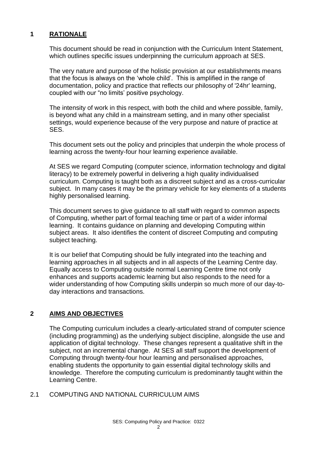# **1 RATIONALE**

This document should be read in conjunction with the Curriculum Intent Statement, which outlines specific issues underpinning the curriculum approach at SES.

The very nature and purpose of the holistic provision at our establishments means that the focus is always on the 'whole child'. This is amplified in the range of documentation, policy and practice that reflects our philosophy of '24hr' learning, coupled with our "no limits' positive psychology.

The intensity of work in this respect, with both the child and where possible, family, is beyond what any child in a mainstream setting, and in many other specialist settings, would experience because of the very purpose and nature of practice at SES.

This document sets out the policy and principles that underpin the whole process of learning across the twenty-four hour learning experience available.

At SES we regard Computing (computer science, information technology and digital literacy) to be extremely powerful in delivering a high quality individualised curriculum. Computing is taught both as a discreet subject and as a cross-curricular subject. In many cases it may be the primary vehicle for key elements of a students highly personalised learning.

This document serves to give guidance to all staff with regard to common aspects of Computing, whether part of formal teaching time or part of a wider informal learning. It contains guidance on planning and developing Computing within subject areas. It also identifies the content of discreet Computing and computing subject teaching.

It is our belief that Computing should be fully integrated into the teaching and learning approaches in all subjects and in all aspects of the Learning Centre day. Equally access to Computing outside normal Learning Centre time not only enhances and supports academic learning but also responds to the need for a wider understanding of how Computing skills underpin so much more of our day-today interactions and transactions.

# **2 AIMS AND OBJECTIVES**

The Computing curriculum includes a clearly-articulated strand of computer science (including programming) as the underlying subject discipline, alongside the use and application of digital technology. These changes represent a qualitative shift in the subject, not an incremental change. At SES all staff support the development of Computing through twenty-four hour learning and personalised approaches, enabling students the opportunity to gain essential digital technology skills and knowledge. Therefore the computing curriculum is predominantly taught within the Learning Centre.

# 2.1 COMPUTING AND NATIONAL CURRICULUM AIMS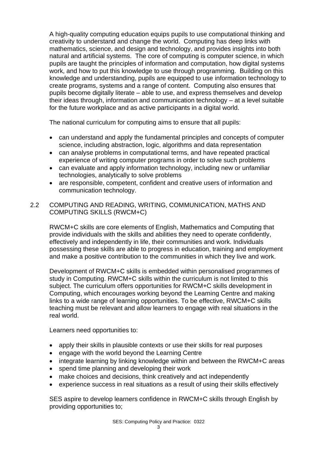A high-quality computing education equips pupils to use computational thinking and creativity to understand and change the world. Computing has deep links with mathematics, science, and design and technology, and provides insights into both natural and artificial systems. The core of computing is computer science, in which pupils are taught the principles of information and computation, how digital systems work, and how to put this knowledge to use through programming. Building on this knowledge and understanding, pupils are equipped to use information technology to create programs, systems and a range of content. Computing also ensures that pupils become digitally literate – able to use, and express themselves and develop their ideas through, information and communication technology – at a level suitable for the future workplace and as active participants in a digital world.

The national curriculum for computing aims to ensure that all pupils:

- can understand and apply the fundamental principles and concepts of computer science, including abstraction, logic, algorithms and data representation
- can analyse problems in computational terms, and have repeated practical experience of writing computer programs in order to solve such problems
- can evaluate and apply information technology, including new or unfamiliar technologies, analytically to solve problems
- are responsible, competent, confident and creative users of information and communication technology.

# 2.2 COMPUTING AND READING, WRITING, COMMUNICATION, MATHS AND COMPUTING SKILLS (RWCM+C)

RWCM+C skills are core elements of English, Mathematics and Computing that provide individuals with the skills and abilities they need to operate confidently, effectively and independently in life, their communities and work. Individuals possessing these skills are able to progress in education, training and employment and make a positive contribution to the communities in which they live and work.

Development of RWCM+C skills is embedded within personalised programmes of study in Computing. RWCM+C skills within the curriculum is not limited to this subject. The curriculum offers opportunities for RWCM+C skills development in Computing, which encourages working beyond the Learning Centre and making links to a wide range of learning opportunities. To be effective, RWCM+C skills teaching must be relevant and allow learners to engage with real situations in the real world.

Learners need opportunities to:

- apply their skills in plausible contexts or use their skills for real purposes
- engage with the world beyond the Learning Centre
- integrate learning by linking knowledge within and between the RWCM+C areas
- spend time planning and developing their work
- make choices and decisions, think creatively and act independently
- experience success in real situations as a result of using their skills effectively

SES aspire to develop learners confidence in RWCM+C skills through English by providing opportunities to;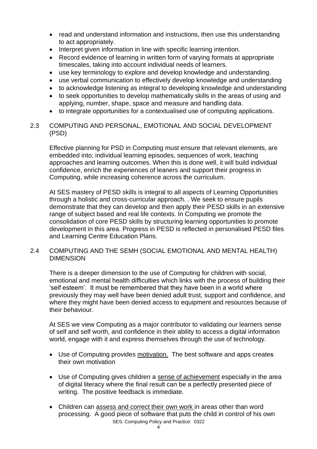- read and understand information and instructions, then use this understanding to act appropriately.
- Interpret given information in line with specific learning intention.
- Record evidence of learning in written form of varying formats at appropriate timescales, taking into account individual needs of learners.
- use key terminology to explore and develop knowledge and understanding.
- use verbal communication to effectively develop knowledge and understanding
- to acknowledge listening as integral to developing knowledge and understanding
- to seek opportunities to develop mathematically skills in the areas of using and applying, number, shape, space and measure and handling data.
- to integrate opportunities for a contextualised use of computing applications.

# 2.3 COMPUTING AND PERSONAL, EMOTIONAL AND SOCIAL DEVELOPMENT (PSD)

Effective planning for PSD in Computing must ensure that relevant elements, are embedded into; individual learning episodes, sequences of work, teaching approaches and learning outcomes. When this is done well, it will build individual confidence, enrich the experiences of leaners and support their progress in Computing, while increasing coherence across the curriculum.

At SES mastery of PESD skills is integral to all aspects of Learning Opportunities through a holistic and cross-curricular approach. . We seek to ensure pupils demonstrate that they can develop and then apply their PESD skills in an extensive range of subject based and real life contexts. In Computing we promote the consolidation of core PESD skills by structuring learning opportunities to promote development in this area. Progress in PESD is reflected in personalised PESD files and Learning Centre Education Plans.

#### 2.4 COMPUTING AND THE SEMH (SOCIAL EMOTIONAL AND MENTAL HEALTH) DIMENSION

There is a deeper dimension to the use of Computing for children with social, emotional and mental health difficulties which links with the process of building their 'self esteem'. It must be remembered that they have been in a world where previously they may well have been denied adult trust, support and confidence, and where they might have been denied access to equipment and resources because of their behaviour.

At SES we view Computing as a major contributor to validating our learners sense of self and self worth, and confidence in their ability to access a digital information world, engage with it and express themselves through the use of technology.

- Use of Computing provides motivation. The best software and apps creates their own motivation
- Use of Computing gives children a sense of achievement especially in the area of digital literacy where the final result can be a perfectly presented piece of writing. The positive feedback is immediate.
- SES: Computing Policy and Practice: 0322 • Children can assess and correct their own work in areas other than word processing. A good piece of software that puts the child in control of his own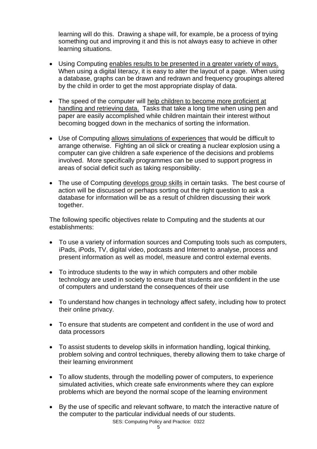learning will do this. Drawing a shape will, for example, be a process of trying something out and improving it and this is not always easy to achieve in other learning situations.

- Using Computing enables results to be presented in a greater variety of ways. When using a digital literacy, it is easy to alter the layout of a page. When using a database, graphs can be drawn and redrawn and frequency groupings altered by the child in order to get the most appropriate display of data.
- The speed of the computer will help children to become more proficient at handling and retrieving data. Tasks that take a long time when using pen and paper are easily accomplished while children maintain their interest without becoming bogged down in the mechanics of sorting the information.
- Use of Computing allows simulations of experiences that would be difficult to arrange otherwise. Fighting an oil slick or creating a nuclear explosion using a computer can give children a safe experience of the decisions and problems involved. More specifically programmes can be used to support progress in areas of social deficit such as taking responsibility.
- The use of Computing develops group skills in certain tasks. The best course of action will be discussed or perhaps sorting out the right question to ask a database for information will be as a result of children discussing their work together.

The following specific objectives relate to Computing and the students at our establishments:

- To use a variety of information sources and Computing tools such as computers, iPads, iPods, TV, digital video, podcasts and Internet to analyse, process and present information as well as model, measure and control external events.
- To introduce students to the way in which computers and other mobile technology are used in society to ensure that students are confident in the use of computers and understand the consequences of their use
- To understand how changes in technology affect safety, including how to protect their online privacy.
- To ensure that students are competent and confident in the use of word and data processors
- To assist students to develop skills in information handling, logical thinking, problem solving and control techniques, thereby allowing them to take charge of their learning environment
- To allow students, through the modelling power of computers, to experience simulated activities, which create safe environments where they can explore problems which are beyond the normal scope of the learning environment
- By the use of specific and relevant software, to match the interactive nature of the computer to the particular individual needs of our students.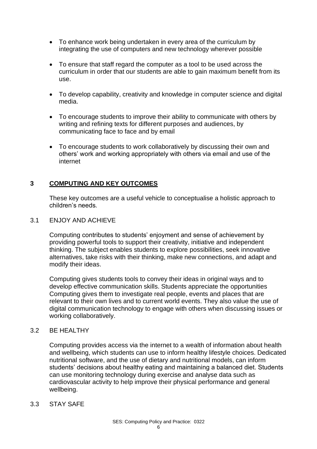- To enhance work being undertaken in every area of the curriculum by integrating the use of computers and new technology wherever possible
- To ensure that staff regard the computer as a tool to be used across the curriculum in order that our students are able to gain maximum benefit from its use.
- To develop capability, creativity and knowledge in computer science and digital media.
- To encourage students to improve their ability to communicate with others by writing and refining texts for different purposes and audiences, by communicating face to face and by email
- To encourage students to work collaboratively by discussing their own and others' work and working appropriately with others via email and use of the internet

# **3 COMPUTING AND KEY OUTCOMES**

These key outcomes are a useful vehicle to conceptualise a holistic approach to children's needs*.*

#### 3.1 ENJOY AND ACHIEVE

Computing contributes to students' enjoyment and sense of achievement by providing powerful tools to support their creativity, initiative and independent thinking. The subject enables students to explore possibilities, seek innovative alternatives, take risks with their thinking, make new connections, and adapt and modify their ideas.

Computing gives students tools to convey their ideas in original ways and to develop effective communication skills. Students appreciate the opportunities Computing gives them to investigate real people, events and places that are relevant to their own lives and to current world events. They also value the use of digital communication technology to engage with others when discussing issues or working collaboratively.

# 3.2 BE HEALTHY

Computing provides access via the internet to a wealth of information about health and wellbeing, which students can use to inform healthy lifestyle choices. Dedicated nutritional software, and the use of dietary and nutritional models, can inform students' decisions about healthy eating and maintaining a balanced diet. Students can use monitoring technology during exercise and analyse data such as cardiovascular activity to help improve their physical performance and general wellbeing.

#### 3.3 STAY SAFE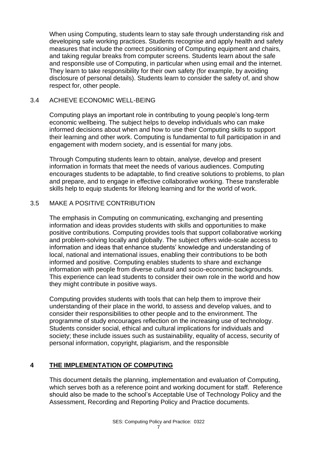When using Computing, students learn to stay safe through understanding risk and developing safe working practices. Students recognise and apply health and safety measures that include the correct positioning of Computing equipment and chairs, and taking regular breaks from computer screens. Students learn about the safe and responsible use of Computing, in particular when using email and the internet. They learn to take responsibility for their own safety (for example, by avoiding disclosure of personal details). Students learn to consider the safety of, and show respect for, other people.

# 3.4 ACHIEVE ECONOMIC WELL-BEING

Computing plays an important role in contributing to young people's long-term economic wellbeing. The subject helps to develop individuals who can make informed decisions about when and how to use their Computing skills to support their learning and other work. Computing is fundamental to full participation in and engagement with modern society, and is essential for many jobs.

Through Computing students learn to obtain, analyse, develop and present information in formats that meet the needs of various audiences. Computing encourages students to be adaptable, to find creative solutions to problems, to plan and prepare, and to engage in effective collaborative working. These transferable skills help to equip students for lifelong learning and for the world of work.

# 3.5 MAKE A POSITIVE CONTRIBUTION

The emphasis in Computing on communicating, exchanging and presenting information and ideas provides students with skills and opportunities to make positive contributions. Computing provides tools that support collaborative working and problem-solving locally and globally. The subject offers wide-scale access to information and ideas that enhance students' knowledge and understanding of local, national and international issues, enabling their contributions to be both informed and positive. Computing enables students to share and exchange information with people from diverse cultural and socio-economic backgrounds. This experience can lead students to consider their own role in the world and how they might contribute in positive ways.

Computing provides students with tools that can help them to improve their understanding of their place in the world, to assess and develop values, and to consider their responsibilities to other people and to the environment. The programme of study encourages reflection on the increasing use of technology. Students consider social, ethical and cultural implications for individuals and society; these include issues such as sustainability, equality of access, security of personal information, copyright, plagiarism, and the responsible

# **4 THE IMPLEMENTATION OF COMPUTING**

This document details the planning, implementation and evaluation of Computing, which serves both as a reference point and working document for staff. Reference should also be made to the school's Acceptable Use of Technology Policy and the Assessment, Recording and Reporting Policy and Practice documents.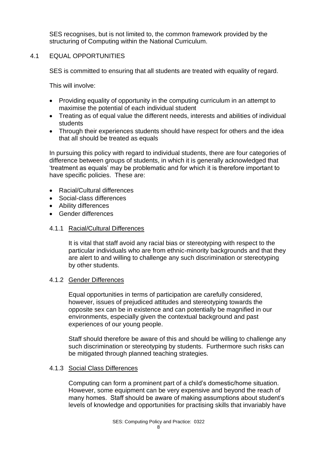SES recognises, but is not limited to, the common framework provided by the structuring of Computing within the National Curriculum.

# 4.1 EQUAL OPPORTUNITIES

SES is committed to ensuring that all students are treated with equality of regard.

This will involve:

- Providing equality of opportunity in the computing curriculum in an attempt to maximise the potential of each individual student
- Treating as of equal value the different needs, interests and abilities of individual students
- Through their experiences students should have respect for others and the idea that all should be treated as equals

In pursuing this policy with regard to individual students, there are four categories of difference between groups of students, in which it is generally acknowledged that 'treatment as equals' may be problematic and for which it is therefore important to have specific policies. These are:

- Racial/Cultural differences
- Social-class differences
- Ability differences
- Gender differences

# 4.1.1 Racial/Cultural Differences

It is vital that staff avoid any racial bias or stereotyping with respect to the particular individuals who are from ethnic-minority backgrounds and that they are alert to and willing to challenge any such discrimination or stereotyping by other students.

# 4.1.2 Gender Differences

Equal opportunities in terms of participation are carefully considered, however, issues of prejudiced attitudes and stereotyping towards the opposite sex can be in existence and can potentially be magnified in our environments, especially given the contextual background and past experiences of our young people.

Staff should therefore be aware of this and should be willing to challenge any such discrimination or stereotyping by students. Furthermore such risks can be mitigated through planned teaching strategies.

#### 4.1.3 Social Class Differences

Computing can form a prominent part of a child's domestic/home situation. However, some equipment can be very expensive and beyond the reach of many homes. Staff should be aware of making assumptions about student's levels of knowledge and opportunities for practising skills that invariably have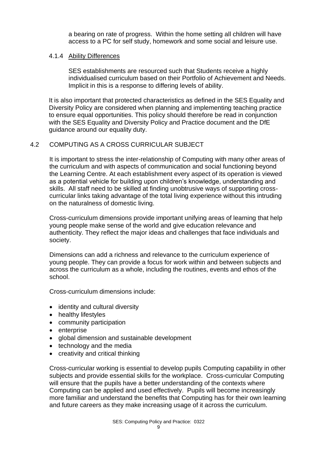a bearing on rate of progress. Within the home setting all children will have access to a PC for self study, homework and some social and leisure use.

#### 4.1.4 Ability Differences

SES establishments are resourced such that Students receive a highly individualised curriculum based on their Portfolio of Achievement and Needs. Implicit in this is a response to differing levels of ability.

It is also important that protected characteristics as defined in the SES Equality and Diversity Policy are considered when planning and implementing teaching practice to ensure equal opportunities. This policy should therefore be read in conjunction with the SES Equality and Diversity Policy and Practice document and the DfE guidance around our equality duty.

#### 4.2 COMPUTING AS A CROSS CURRICULAR SUBJECT

It is important to stress the inter-relationship of Computing with many other areas of the curriculum and with aspects of communication and social functioning beyond the Learning Centre. At each establishment every aspect of its operation is viewed as a potential vehicle for building upon children's knowledge, understanding and skills. All staff need to be skilled at finding unobtrusive ways of supporting crosscurricular links taking advantage of the total living experience without this intruding on the naturalness of domestic living.

Cross-curriculum dimensions provide important unifying areas of learning that help young people make sense of the world and give education relevance and authenticity. They reflect the major ideas and challenges that face individuals and society.

Dimensions can add a richness and relevance to the curriculum experience of young people. They can provide a focus for work within and between subjects and across the curriculum as a whole, including the routines, events and ethos of the school.

Cross-curriculum dimensions include:

- identity and cultural diversity
- healthy lifestyles
- community participation
- enterprise
- global dimension and sustainable development
- technology and the media
- creativity and critical thinking

Cross-curricular working is essential to develop pupils Computing capability in other subjects and provide essential skills for the workplace. Cross-curricular Computing will ensure that the pupils have a better understanding of the contexts where Computing can be applied and used effectively. Pupils will become increasingly more familiar and understand the benefits that Computing has for their own learning and future careers as they make increasing usage of it across the curriculum.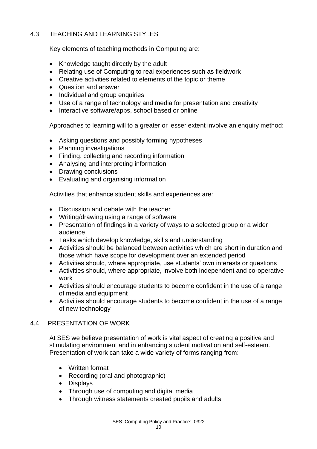# 4.3 TEACHING AND LEARNING STYLES

Key elements of teaching methods in Computing are:

- Knowledge taught directly by the adult
- Relating use of Computing to real experiences such as fieldwork
- Creative activities related to elements of the topic or theme
- Question and answer
- Individual and group enquiries
- Use of a range of technology and media for presentation and creativity
- Interactive software/apps, school based or online

Approaches to learning will to a greater or lesser extent involve an enquiry method:

- Asking questions and possibly forming hypotheses
- Planning investigations
- Finding, collecting and recording information
- Analysing and interpreting information
- Drawing conclusions
- Evaluating and organising information

Activities that enhance student skills and experiences are:

- Discussion and debate with the teacher
- Writing/drawing using a range of software
- Presentation of findings in a variety of ways to a selected group or a wider audience
- Tasks which develop knowledge, skills and understanding
- Activities should be balanced between activities which are short in duration and those which have scope for development over an extended period
- Activities should, where appropriate, use students' own interests or questions
- Activities should, where appropriate, involve both independent and co-operative work
- Activities should encourage students to become confident in the use of a range of media and equipment
- Activities should encourage students to become confident in the use of a range of new technology

#### 4.4 PRESENTATION OF WORK

At SES we believe presentation of work is vital aspect of creating a positive and stimulating environment and in enhancing student motivation and self-esteem. Presentation of work can take a wide variety of forms ranging from:

- Written format
- Recording (oral and photographic)
- Displays
- Through use of computing and digital media
- Through witness statements created pupils and adults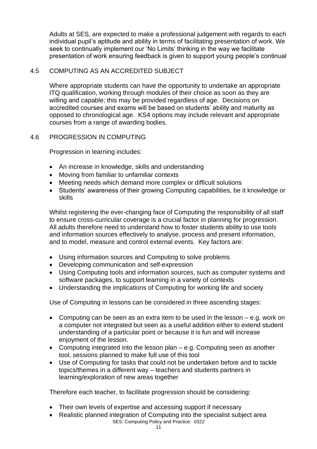Adults at SES, are expected to make a professional judgement with regards to each individual pupil's aptitude and ability in terms of facilitating presentation of work. We seek to continually implement our 'No Limits' thinking in the way we facilitate presentation of work ensuring feedback is given to support young people's continual

# 4.5 COMPUTING AS AN ACCREDITED SUBJECT

Where appropriate students can have the opportunity to undertake an appropriate ITQ qualification, working through modules of their choice as soon as they are willing and capable; this may be provided regardless of age. Decisions on accredited courses and exams will be based on students' ability and maturity as opposed to chronological age. KS4 options may include relevant and appropriate courses from a range of awarding bodies.

# 4.6 PROGRESSION IN COMPUTING

Progression in learning includes:

- An increase in knowledge, skills and understanding
- Moving from familiar to unfamiliar contexts
- Meeting needs which demand more complex or difficult solutions
- Students' awareness of their growing Computing capabilities, be it knowledge or skills

Whilst registering the ever-changing face of Computing the responsibility of all staff to ensure cross-curricular coverage is a crucial factor in planning for progression. All adults therefore need to understand how to foster students ability to use tools and information sources effectively to analyse, process and present information, and to model, measure and control external events. Key factors are:

- Using information sources and Computing to solve problems
- Developing communication and self-expression
- Using Computing tools and information sources, such as computer systems and software packages, to support learning in a variety of contexts
- Understanding the implications of Computing for working life and society

Use of Computing in lessons can be considered in three ascending stages:

- Computing can be seen as an extra item to be used in the lesson e.g. work on a computer not integrated but seen as a useful addition either to extend student understanding of a particular point or because it is fun and will increase enjoyment of the lesson.
- Computing integrated into the lesson plan e.g. Computing seen as another tool, sessions planned to make full use of this tool
- Use of Computing for tasks that could not be undertaken before and to tackle topics/themes in a different way – teachers and students partners in learning/exploration of new areas together

Therefore each teacher, to facilitate progression should be considering:

- Their own levels of expertise and accessing support if necessary
- SES: Computing Policy and Practice: 0322 • Realistic planned integration of Computing into the specialist subject area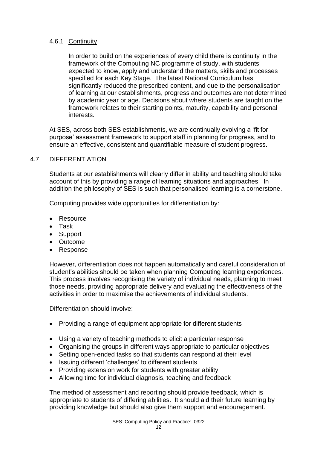#### 4.6.1 Continuity

In order to build on the experiences of every child there is continuity in the framework of the Computing NC programme of study, with students expected to know, apply and understand the matters, skills and processes specified for each Key Stage. The latest National Curriculum has significantly reduced the prescribed content, and due to the personalisation of learning at our establishments, progress and outcomes are not determined by academic year or age. Decisions about where students are taught on the framework relates to their starting points, maturity, capability and personal interests.

At SES, across both SES establishments, we are continually evolving a 'fit for purpose' assessment framework to support staff in planning for progress, and to ensure an effective, consistent and quantifiable measure of student progress.

# 4.7 DIFFERENTIATION

Students at our establishments will clearly differ in ability and teaching should take account of this by providing a range of learning situations and approaches. In addition the philosophy of SES is such that personalised learning is a cornerstone.

Computing provides wide opportunities for differentiation by:

- Resource
- Task
- Support
- Outcome
- Response

However, differentiation does not happen automatically and careful consideration of student's abilities should be taken when planning Computing learning experiences. This process involves recognising the variety of individual needs, planning to meet those needs, providing appropriate delivery and evaluating the effectiveness of the activities in order to maximise the achievements of individual students.

Differentiation should involve:

- Providing a range of equipment appropriate for different students
- Using a variety of teaching methods to elicit a particular response
- Organising the groups in different ways appropriate to particular objectives
- Setting open-ended tasks so that students can respond at their level
- Issuing different 'challenges' to different students
- Providing extension work for students with greater ability
- Allowing time for individual diagnosis, teaching and feedback

The method of assessment and reporting should provide feedback, which is appropriate to students of differing abilities. It should aid their future learning by providing knowledge but should also give them support and encouragement.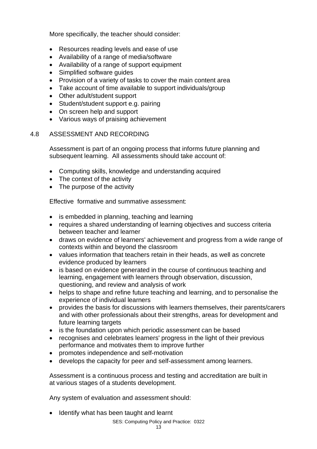More specifically, the teacher should consider:

- Resources reading levels and ease of use
- Availability of a range of media/software
- Availability of a range of support equipment
- Simplified software guides
- Provision of a variety of tasks to cover the main content area
- Take account of time available to support individuals/group
- Other adult/student support
- Student/student support e.g. pairing
- On screen help and support
- Various ways of praising achievement

#### 4.8 ASSESSMENT AND RECORDING

Assessment is part of an ongoing process that informs future planning and subsequent learning. All assessments should take account of:

- Computing skills, knowledge and understanding acquired
- The context of the activity
- The purpose of the activity

Effective formative and summative assessment:

- is embedded in planning, teaching and learning
- requires a shared understanding of learning objectives and success criteria between teacher and learner
- draws on evidence of learners' achievement and progress from a wide range of contexts within and beyond the classroom
- values information that teachers retain in their heads, as well as concrete evidence produced by learners
- is based on evidence generated in the course of continuous teaching and learning, engagement with learners through observation, discussion, questioning, and review and analysis of work
- helps to shape and refine future teaching and learning, and to personalise the experience of individual learners
- provides the basis for discussions with learners themselves, their parents/carers and with other professionals about their strengths, areas for development and future learning targets
- is the foundation upon which periodic assessment can be based
- recognises and celebrates learners' progress in the light of their previous performance and motivates them to improve further
- promotes independence and self-motivation
- develops the capacity for peer and self-assessment among learners.

Assessment is a continuous process and testing and accreditation are built in at various stages of a students development.

Any system of evaluation and assessment should:

• Identify what has been taught and learnt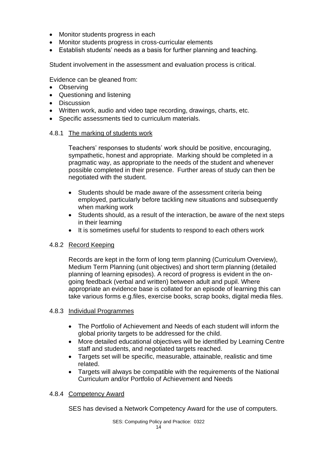- Monitor students progress in each
- Monitor students progress in cross-curricular elements
- Establish students' needs as a basis for further planning and teaching.

Student involvement in the assessment and evaluation process is critical.

Evidence can be gleaned from:

- Observing
- Questioning and listening
- Discussion
- Written work, audio and video tape recording, drawings, charts, etc.
- Specific assessments tied to curriculum materials.

#### 4.8.1 The marking of students work

Teachers' responses to students' work should be positive, encouraging, sympathetic, honest and appropriate. Marking should be completed in a pragmatic way, as appropriate to the needs of the student and whenever possible completed in their presence. Further areas of study can then be negotiated with the student.

- Students should be made aware of the assessment criteria being employed, particularly before tackling new situations and subsequently when marking work
- Students should, as a result of the interaction, be aware of the next steps in their learning
- It is sometimes useful for students to respond to each others work

#### 4.8.2 Record Keeping

Records are kept in the form of long term planning (Curriculum Overview), Medium Term Planning (unit objectives) and short term planning (detailed planning of learning episodes). A record of progress is evident in the ongoing feedback (verbal and written) between adult and pupil. Where appropriate an evidence base is collated for an episode of learning this can take various forms e.g.files, exercise books, scrap books, digital media files.

#### 4.8.3 Individual Programmes

- The Portfolio of Achievement and Needs of each student will inform the global priority targets to be addressed for the child.
- More detailed educational objectives will be identified by Learning Centre staff and students, and negotiated targets reached.
- Targets set will be specific, measurable, attainable, realistic and time related.
- Targets will always be compatible with the requirements of the National Curriculum and/or Portfolio of Achievement and Needs

#### 4.8.4 Competency Award

SES has devised a Network Competency Award for the use of computers.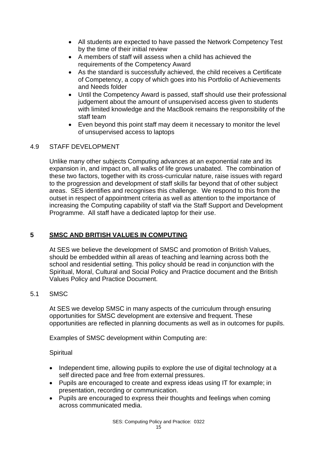- All students are expected to have passed the Network Competency Test by the time of their initial review
- A members of staff will assess when a child has achieved the requirements of the Competency Award
- As the standard is successfully achieved, the child receives a Certificate of Competency, a copy of which goes into his Portfolio of Achievements and Needs folder
- Until the Competency Award is passed, staff should use their professional judgement about the amount of unsupervised access given to students with limited knowledge and the MacBook remains the responsibility of the staff team
- Even beyond this point staff may deem it necessary to monitor the level of unsupervised access to laptops

# 4.9 STAFF DEVELOPMENT

Unlike many other subjects Computing advances at an exponential rate and its expansion in, and impact on, all walks of life grows unabated. The combination of these two factors, together with its cross-curricular nature, raise issues with regard to the progression and development of staff skills far beyond that of other subject areas. SES identifies and recognises this challenge. We respond to this from the outset in respect of appointment criteria as well as attention to the importance of increasing the Computing capability of staff via the Staff Support and Development Programme. All staff have a dedicated laptop for their use.

# **5 SMSC AND BRITISH VALUES IN COMPUTING**

At SES we believe the development of SMSC and promotion of British Values, should be embedded within all areas of teaching and learning across both the school and residential setting. This policy should be read in conjunction with the Spiritual, Moral, Cultural and Social Policy and Practice document and the British Values Policy and Practice Document.

#### 5.1 SMSC

At SES we develop SMSC in many aspects of the curriculum through ensuring opportunities for SMSC development are extensive and frequent. These opportunities are reflected in planning documents as well as in outcomes for pupils.

Examples of SMSC development within Computing are:

#### **Spiritual**

- Independent time, allowing pupils to explore the use of digital technology at a self directed pace and free from external pressures.
- Pupils are encouraged to create and express ideas using IT for example; in presentation, recording or communication.
- Pupils are encouraged to express their thoughts and feelings when coming across communicated media.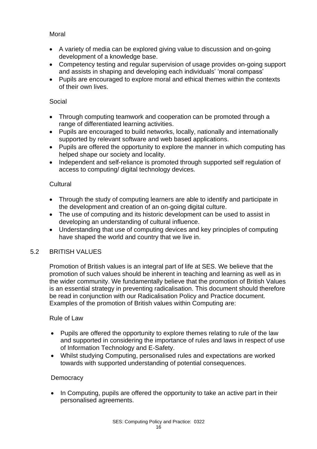# **Moral**

- A variety of media can be explored giving value to discussion and on-going development of a knowledge base.
- Competency testing and regular supervision of usage provides on-going support and assists in shaping and developing each individuals' 'moral compass'
- Pupils are encouraged to explore moral and ethical themes within the contexts of their own lives.

#### Social

- Through computing teamwork and cooperation can be promoted through a range of differentiated learning activities.
- Pupils are encouraged to build networks, locally, nationally and internationally supported by relevant software and web based applications.
- Pupils are offered the opportunity to explore the manner in which computing has helped shape our society and locality.
- Independent and self-reliance is promoted through supported self regulation of access to computing/ digital technology devices.

# **Cultural**

- Through the study of computing learners are able to identify and participate in the development and creation of an on-going digital culture.
- The use of computing and its historic development can be used to assist in developing an understanding of cultural influence.
- Understanding that use of computing devices and key principles of computing have shaped the world and country that we live in.

# 5.2 BRITISH VALUES

Promotion of British values is an integral part of life at SES. We believe that the promotion of such values should be inherent in teaching and learning as well as in the wider community. We fundamentally believe that the promotion of British Values is an essential strategy in preventing radicalisation. This document should therefore be read in conjunction with our Radicalisation Policy and Practice document. Examples of the promotion of British values within Computing are:

# Rule of Law

- Pupils are offered the opportunity to explore themes relating to rule of the law and supported in considering the importance of rules and laws in respect of use of Information Technology and E-Safety.
- Whilst studying Computing, personalised rules and expectations are worked towards with supported understanding of potential consequences.

# **Democracy**

• In Computing, pupils are offered the opportunity to take an active part in their personalised agreements.